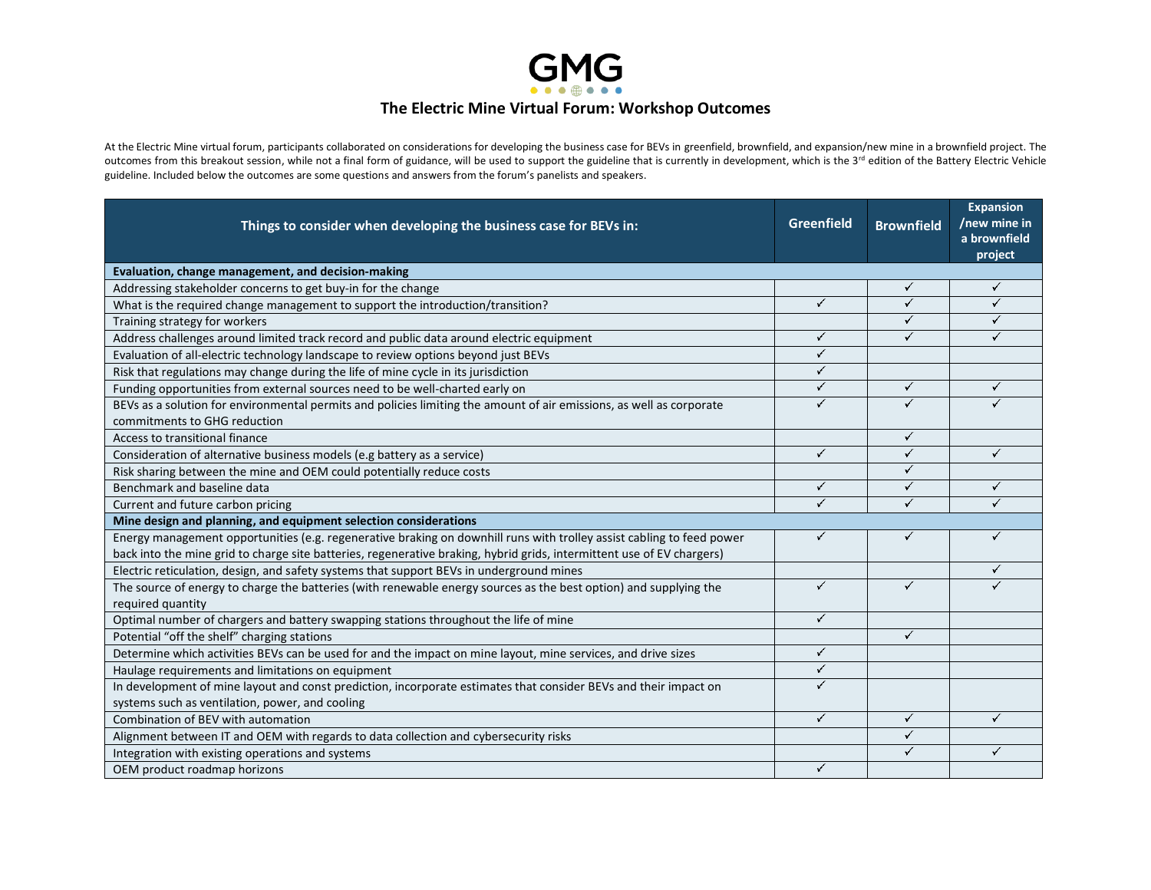

## **The Electric Mine Virtual Forum: Workshop Outcomes**

At the Electric Mine virtual forum, participants collaborated on considerations for developing the business case for BEVs in greenfield, brownfield, and expansion/new mine in a brownfield project. The outcomes from this breakout session, while not a final form of guidance, will be used to support the guideline that is currently in development, which is the 3<sup>rd</sup> edition of the Battery Electric Vehicle guideline. Included below the outcomes are some questions and answers from the forum's panelists and speakers.

| Things to consider when developing the business case for BEVs in:                                                                                                                                                                               | Greenfield   | <b>Brownfield</b> | <b>Expansion</b><br>/new mine in<br>a brownfield<br>project |
|-------------------------------------------------------------------------------------------------------------------------------------------------------------------------------------------------------------------------------------------------|--------------|-------------------|-------------------------------------------------------------|
| Evaluation, change management, and decision-making                                                                                                                                                                                              |              |                   |                                                             |
| Addressing stakeholder concerns to get buy-in for the change                                                                                                                                                                                    |              | ✓                 | ✓                                                           |
| What is the required change management to support the introduction/transition?                                                                                                                                                                  | $\checkmark$ | ✓                 | ✓                                                           |
| Training strategy for workers                                                                                                                                                                                                                   |              | ✓                 | ✓                                                           |
| Address challenges around limited track record and public data around electric equipment                                                                                                                                                        | ✓            | ✓                 | ✓                                                           |
| Evaluation of all-electric technology landscape to review options beyond just BEVs                                                                                                                                                              | ✓            |                   |                                                             |
| Risk that regulations may change during the life of mine cycle in its jurisdiction                                                                                                                                                              | ✓            |                   |                                                             |
| Funding opportunities from external sources need to be well-charted early on                                                                                                                                                                    | ✓            | ✓                 | ✓                                                           |
| BEVs as a solution for environmental permits and policies limiting the amount of air emissions, as well as corporate<br>commitments to GHG reduction                                                                                            | ✓            | ✓                 |                                                             |
| Access to transitional finance                                                                                                                                                                                                                  |              | ✓                 |                                                             |
| Consideration of alternative business models (e.g battery as a service)                                                                                                                                                                         | ✓            | ✓                 | ✓                                                           |
| Risk sharing between the mine and OEM could potentially reduce costs                                                                                                                                                                            |              | ✓                 |                                                             |
| Benchmark and baseline data                                                                                                                                                                                                                     | ✓            | ✓                 | ✓                                                           |
| Current and future carbon pricing                                                                                                                                                                                                               | ✓            | ✓                 | ✓                                                           |
| Mine design and planning, and equipment selection considerations                                                                                                                                                                                |              |                   |                                                             |
| Energy management opportunities (e.g. regenerative braking on downhill runs with trolley assist cabling to feed power<br>back into the mine grid to charge site batteries, regenerative braking, hybrid grids, intermittent use of EV chargers) | ✓            | ✓                 | ✓                                                           |
| Electric reticulation, design, and safety systems that support BEVs in underground mines                                                                                                                                                        |              |                   |                                                             |
| The source of energy to charge the batteries (with renewable energy sources as the best option) and supplying the<br>required quantity                                                                                                          | ✓            | ✓                 |                                                             |
| Optimal number of chargers and battery swapping stations throughout the life of mine                                                                                                                                                            | ✓            |                   |                                                             |
| Potential "off the shelf" charging stations                                                                                                                                                                                                     |              | ✓                 |                                                             |
| Determine which activities BEVs can be used for and the impact on mine layout, mine services, and drive sizes                                                                                                                                   | ✓            |                   |                                                             |
| Haulage requirements and limitations on equipment                                                                                                                                                                                               | ✓            |                   |                                                             |
| In development of mine layout and const prediction, incorporate estimates that consider BEVs and their impact on<br>systems such as ventilation, power, and cooling                                                                             | ✓            |                   |                                                             |
| Combination of BEV with automation                                                                                                                                                                                                              | ✓            | ✓                 | ✓                                                           |
| Alignment between IT and OEM with regards to data collection and cybersecurity risks                                                                                                                                                            |              | ✓                 |                                                             |
| Integration with existing operations and systems                                                                                                                                                                                                |              | ✓                 | ✓                                                           |
| OEM product roadmap horizons                                                                                                                                                                                                                    | ✓            |                   |                                                             |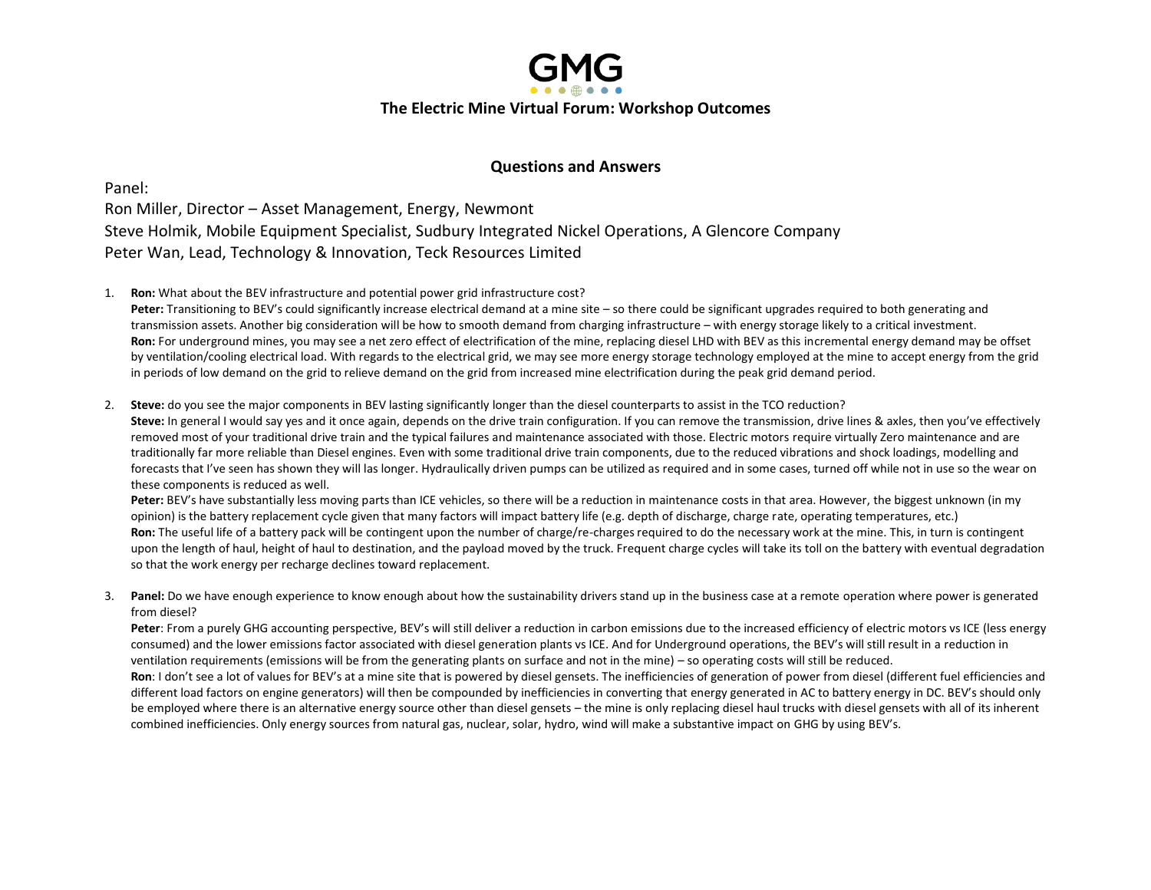

## **Questions and Answers**

Panel: Ron Miller, Director – Asset Management, Energy, Newmont Steve Holmik, Mobile Equipment Specialist, Sudbury Integrated Nickel Operations, A Glencore Company Peter Wan, Lead, Technology & Innovation, Teck Resources Limited

1. **Ron:** What about the BEV infrastructure and potential power grid infrastructure cost?

**Peter:** Transitioning to BEV's could significantly increase electrical demand at a mine site – so there could be significant upgrades required to both generating and transmission assets. Another big consideration will be how to smooth demand from charging infrastructure – with energy storage likely to a critical investment. **Ron:** For underground mines, you may see a net zero effect of electrification of the mine, replacing diesel LHD with BEV as this incremental energy demand may be offset by ventilation/cooling electrical load. With regards to the electrical grid, we may see more energy storage technology employed at the mine to accept energy from the grid in periods of low demand on the grid to relieve demand on the grid from increased mine electrification during the peak grid demand period.

2. **Steve:** do you see the major components in BEV lasting significantly longer than the diesel counterparts to assist in the TCO reduction?

Steve: In general I would say yes and it once again, depends on the drive train configuration. If you can remove the transmission, drive lines & axles, then you've effectively removed most of your traditional drive train and the typical failures and maintenance associated with those. Electric motors require virtually Zero maintenance and are traditionally far more reliable than Diesel engines. Even with some traditional drive train components, due to the reduced vibrations and shock loadings, modelling and forecasts that I've seen has shown they will las longer. Hydraulically driven pumps can be utilized as required and in some cases, turned off while not in use so the wear on these components is reduced as well.

**Peter:** BEV's have substantially less moving parts than ICE vehicles, so there will be a reduction in maintenance costs in that area. However, the biggest unknown (in my opinion) is the battery replacement cycle given that many factors will impact battery life (e.g. depth of discharge, charge rate, operating temperatures, etc.) **Ron:** The useful life of a battery pack will be contingent upon the number of charge/re-charges required to do the necessary work at the mine. This, in turn is contingent upon the length of haul, height of haul to destination, and the payload moved by the truck. Frequent charge cycles will take its toll on the battery with eventual degradation so that the work energy per recharge declines toward replacement.

3. **Panel:** Do we have enough experience to know enough about how the sustainability drivers stand up in the business case at a remote operation where power is generated from diesel?

Peter: From a purely GHG accounting perspective, BEV's will still deliver a reduction in carbon emissions due to the increased efficiency of electric motors vs ICE (less energy consumed) and the lower emissions factor associated with diesel generation plants vs ICE. And for Underground operations, the BEV's will still result in a reduction in ventilation requirements (emissions will be from the generating plants on surface and not in the mine) – so operating costs will still be reduced. **Ron**: I don't see a lot of values for BEV's at a mine site that is powered by diesel gensets. The inefficiencies of generation of power from diesel (different fuel efficiencies and different load factors on engine generators) will then be compounded by inefficiencies in converting that energy generated in AC to battery energy in DC. BEV's should only be employed where there is an alternative energy source other than diesel gensets – the mine is only replacing diesel haul trucks with diesel gensets with all of its inherent combined inefficiencies. Only energy sources from natural gas, nuclear, solar, hydro, wind will make a substantive impact on GHG by using BEV's.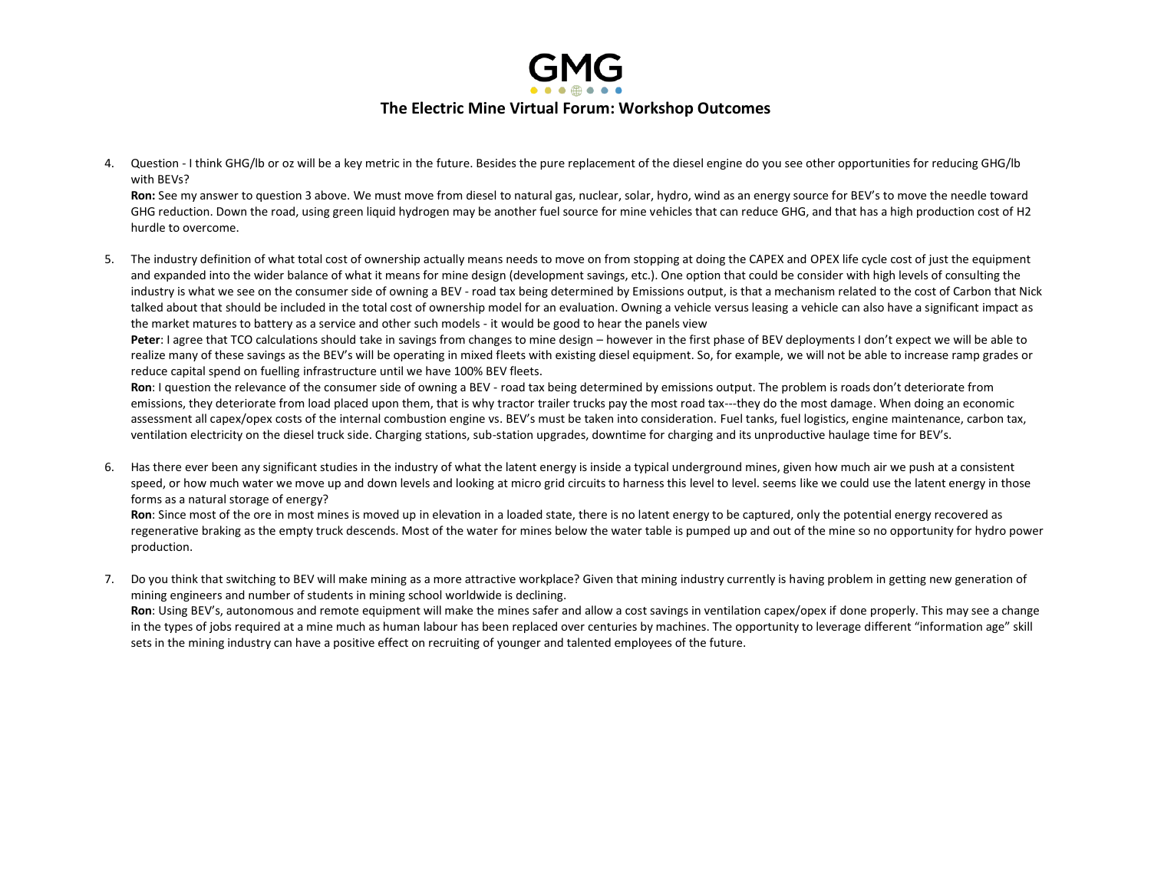

4. Question - I think GHG/lb or oz will be a key metric in the future. Besides the pure replacement of the diesel engine do you see other opportunities for reducing GHG/lb with BEVs?

**Ron:** See my answer to question 3 above. We must move from diesel to natural gas, nuclear, solar, hydro, wind as an energy source for BEV's to move the needle toward GHG reduction. Down the road, using green liquid hydrogen may be another fuel source for mine vehicles that can reduce GHG, and that has a high production cost of H2 hurdle to overcome.

5. The industry definition of what total cost of ownership actually means needs to move on from stopping at doing the CAPEX and OPEX life cycle cost of just the equipment and expanded into the wider balance of what it means for mine design (development savings, etc.). One option that could be consider with high levels of consulting the industry is what we see on the consumer side of owning a BEV - road tax being determined by Emissions output, is that a mechanism related to the cost of Carbon that Nick talked about that should be included in the total cost of ownership model for an evaluation. Owning a vehicle versus leasing a vehicle can also have a significant impact as the market matures to battery as a service and other such models - it would be good to hear the panels view

Peter: I agree that TCO calculations should take in savings from changes to mine design – however in the first phase of BEV deployments I don't expect we will be able to realize many of these savings as the BEV's will be operating in mixed fleets with existing diesel equipment. So, for example, we will not be able to increase ramp grades or reduce capital spend on fuelling infrastructure until we have 100% BEV fleets.

**Ron**: I question the relevance of the consumer side of owning a BEV - road tax being determined by emissions output. The problem is roads don't deteriorate from emissions, they deteriorate from load placed upon them, that is why tractor trailer trucks pay the most road tax---they do the most damage. When doing an economic assessment all capex/opex costs of the internal combustion engine vs. BEV's must be taken into consideration. Fuel tanks, fuel logistics, engine maintenance, carbon tax, ventilation electricity on the diesel truck side. Charging stations, sub-station upgrades, downtime for charging and its unproductive haulage time for BEV's.

6. Has there ever been any significant studies in the industry of what the latent energy is inside a typical underground mines, given how much air we push at a consistent speed, or how much water we move up and down levels and looking at micro grid circuits to harness this level to level. seems like we could use the latent energy in those forms as a natural storage of energy?

**Ron**: Since most of the ore in most mines is moved up in elevation in a loaded state, there is no latent energy to be captured, only the potential energy recovered as regenerative braking as the empty truck descends. Most of the water for mines below the water table is pumped up and out of the mine so no opportunity for hydro power production.

7. Do you think that switching to BEV will make mining as a more attractive workplace? Given that mining industry currently is having problem in getting new generation of mining engineers and number of students in mining school worldwide is declining.

**Ron**: Using BEV's, autonomous and remote equipment will make the mines safer and allow a cost savings in ventilation capex/opex if done properly. This may see a change in the types of jobs required at a mine much as human labour has been replaced over centuries by machines. The opportunity to leverage different "information age" skill sets in the mining industry can have a positive effect on recruiting of younger and talented employees of the future.